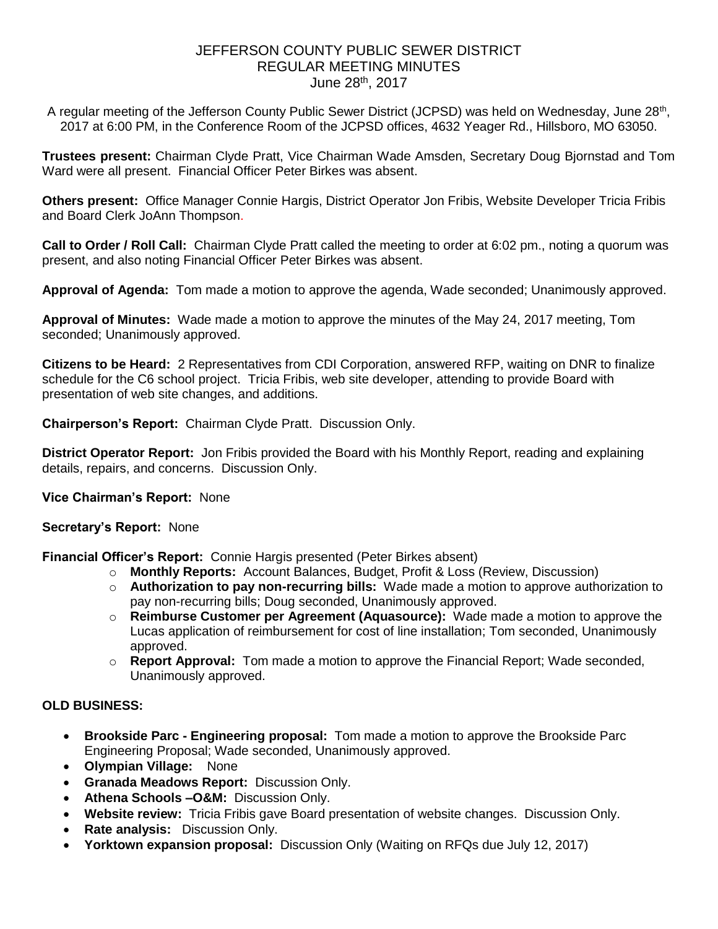# JEFFERSON COUNTY PUBLIC SEWER DISTRICT REGULAR MEETING MINUTES June 28th, 2017

A regular meeting of the Jefferson County Public Sewer District (JCPSD) was held on Wednesday, June 28<sup>th</sup>, 2017 at 6:00 PM, in the Conference Room of the JCPSD offices, 4632 Yeager Rd., Hillsboro, MO 63050.

**Trustees present:** Chairman Clyde Pratt, Vice Chairman Wade Amsden, Secretary Doug Bjornstad and Tom Ward were all present. Financial Officer Peter Birkes was absent.

**Others present:** Office Manager Connie Hargis, District Operator Jon Fribis, Website Developer Tricia Fribis and Board Clerk JoAnn Thompson.

**Call to Order / Roll Call:** Chairman Clyde Pratt called the meeting to order at 6:02 pm., noting a quorum was present, and also noting Financial Officer Peter Birkes was absent.

**Approval of Agenda:** Tom made a motion to approve the agenda, Wade seconded; Unanimously approved.

**Approval of Minutes:** Wade made a motion to approve the minutes of the May 24, 2017 meeting, Tom seconded; Unanimously approved.

**Citizens to be Heard:** 2 Representatives from CDI Corporation, answered RFP, waiting on DNR to finalize schedule for the C6 school project. Tricia Fribis, web site developer, attending to provide Board with presentation of web site changes, and additions.

**Chairperson's Report:** Chairman Clyde Pratt. Discussion Only.

**District Operator Report:** Jon Fribis provided the Board with his Monthly Report, reading and explaining details, repairs, and concerns. Discussion Only.

## **Vice Chairman's Report:** None

#### **Secretary's Report:** None

**Financial Officer's Report:** Connie Hargis presented (Peter Birkes absent)

- o **Monthly Reports:** Account Balances, Budget, Profit & Loss (Review, Discussion)
- o **Authorization to pay non-recurring bills:** Wade made a motion to approve authorization to pay non-recurring bills; Doug seconded, Unanimously approved.
- o **Reimburse Customer per Agreement (Aquasource):** Wade made a motion to approve the Lucas application of reimbursement for cost of line installation; Tom seconded, Unanimously approved.
- o **Report Approval:** Tom made a motion to approve the Financial Report; Wade seconded, Unanimously approved.

## **OLD BUSINESS:**

- **Brookside Parc - Engineering proposal:** Tom made a motion to approve the Brookside Parc Engineering Proposal; Wade seconded, Unanimously approved.
- **Olympian Village:** None
- **Granada Meadows Report:** Discussion Only.
- **Athena Schools –O&M:** Discussion Only.
- **Website review:** Tricia Fribis gave Board presentation of website changes. Discussion Only.
- **Rate analysis:** Discussion Only.
- **Yorktown expansion proposal:** Discussion Only (Waiting on RFQs due July 12, 2017)